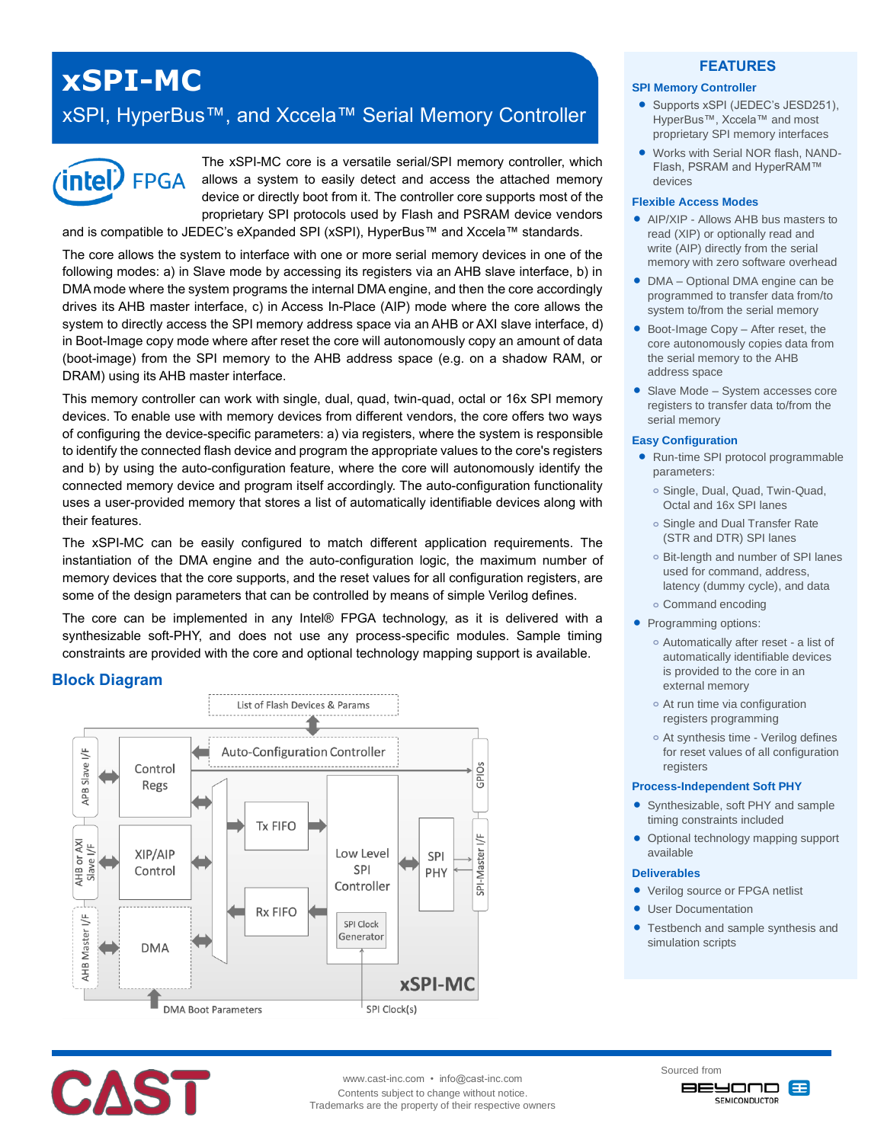# **xSPI-MC**

## xSPI, HyperBus™, and Xccela™ Serial Memory Controller



The xSPI-MC core is a versatile serial/SPI memory controller, which allows a system to easily detect and access the attached memory device or directly boot from it. The controller core supports most of the proprietary SPI protocols used by Flash and PSRAM device vendors

and is compatible to JEDEC's eXpanded SPI (xSPI), HyperBus™ and Xccela™ standards.

The core allows the system to interface with one or more serial memory devices in one of the following modes: a) in Slave mode by accessing its registers via an AHB slave interface, b) in DMA mode where the system programs the internal DMA engine, and then the core accordingly drives its AHB master interface, c) in Access In-Place (AIP) mode where the core allows the system to directly access the SPI memory address space via an AHB or AXI slave interface, d) in Boot-Image copy mode where after reset the core will autonomously copy an amount of data (boot-image) from the SPI memory to the AHB address space (e.g. on a shadow RAM, or DRAM) using its AHB master interface.

This memory controller can work with single, dual, quad, twin-quad, octal or 16x SPI memory devices. To enable use with memory devices from different vendors, the core offers two ways of configuring the device-specific parameters: a) via registers, where the system is responsible to identify the connected flash device and program the appropriate values to the core's registers and b) by using the auto-configuration feature, where the core will autonomously identify the connected memory device and program itself accordingly. The auto-configuration functionality uses a user-provided memory that stores a list of automatically identifiable devices along with their features.

The xSPI-MC can be easily configured to match different application requirements. The instantiation of the DMA engine and the auto-configuration logic, the maximum number of memory devices that the core supports, and the reset values for all configuration registers, are some of the design parameters that can be controlled by means of simple Verilog defines.

The core can be implemented in any Intel® FPGA technology, as it is delivered with a synthesizable soft-PHY, and does not use any process-specific modules. Sample timing constraints are provided with the core and optional technology mapping support is available.

#### **Block Diagram**





www.cast-inc.com • info@cast-inc.com Contents subject to change without notice. Trademarks are the property of their respective owners

#### **FEATURES**

#### **SPI Memory Controller**

- Supports xSPI (JEDEC's JESD251), HyperBus™, Xccela™ and most proprietary SPI memory interfaces
- Works with Serial NOR flash, NAND-Flash, PSRAM and HyperRAM™ devices

#### **Flexible Access Modes**

- **AIP/XIP Allows AHR bus masters to** read (XIP) or optionally read and write (AIP) directly from the serial memory with zero software overhead
- DMA Optional DMA engine can be programmed to transfer data from/to system to/from the serial memory
- Boot-Image Copy After reset, the core autonomously copies data from the serial memory to the AHB address space
- Slave Mode System accesses core registers to transfer data to/from the serial memory

#### **Easy Configuration**

- Run-time SPI protocol programmable parameters:
	- **o** Single, Dual, Quad, Twin-Quad, Octal and 16x SPI lanes
	- **o** Single and Dual Transfer Rate (STR and DTR) SPI lanes
	- **o** Bit-length and number of SPI lanes used for command, address, latency (dummy cycle), and data
	- **o** Command encoding
- Programming options:
	- **o** Automatically after reset a list of automatically identifiable devices is provided to the core in an external memory
	- **o** At run time via configuration registers programming
	- **o** At synthesis time Verilog defines for reset values of all configuration registers

#### **Process-Independent Soft PHY**

- Synthesizable, soft PHY and sample timing constraints included
- Optional technology mapping support available

#### **Deliverables**

- Verilog source or FPGA netlist
- User Documentation
- Testbench and sample synthesis and simulation scripts

Sourced from **BEYOND 83 SEMICONDUCTOR**